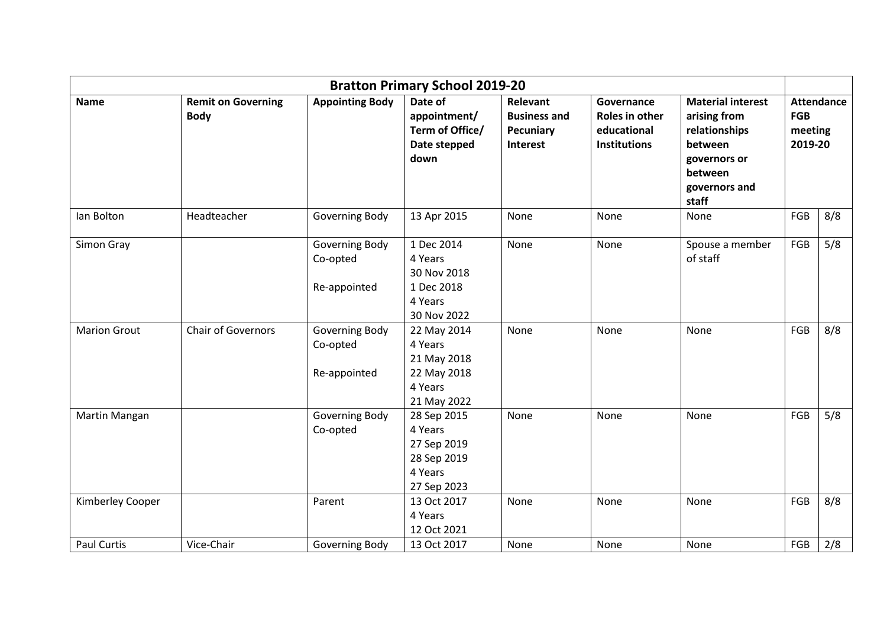| <b>Bratton Primary School 2019-20</b> |                                          |                            |                                                                                |                                                          |                                                                    |                                                                                                                           |                                                       |     |
|---------------------------------------|------------------------------------------|----------------------------|--------------------------------------------------------------------------------|----------------------------------------------------------|--------------------------------------------------------------------|---------------------------------------------------------------------------------------------------------------------------|-------------------------------------------------------|-----|
| <b>Name</b>                           | <b>Remit on Governing</b><br><b>Body</b> | <b>Appointing Body</b>     | Date of<br>appointment/<br>Term of Office/<br>Date stepped<br>down             | Relevant<br><b>Business and</b><br>Pecuniary<br>Interest | Governance<br>Roles in other<br>educational<br><b>Institutions</b> | <b>Material interest</b><br>arising from<br>relationships<br>between<br>governors or<br>between<br>governors and<br>staff | <b>Attendance</b><br><b>FGB</b><br>meeting<br>2019-20 |     |
| lan Bolton                            | Headteacher                              | Governing Body             | 13 Apr 2015                                                                    | None                                                     | None                                                               | None                                                                                                                      | FGB                                                   | 8/8 |
| Simon Gray                            |                                          | Governing Body<br>Co-opted | 1 Dec 2014<br>4 Years<br>30 Nov 2018                                           | None                                                     | None                                                               | Spouse a member<br>of staff                                                                                               | FGB                                                   | 5/8 |
|                                       |                                          | Re-appointed               | 1 Dec 2018<br>4 Years<br>30 Nov 2022                                           |                                                          |                                                                    |                                                                                                                           |                                                       |     |
| <b>Marion Grout</b>                   | <b>Chair of Governors</b>                | Governing Body<br>Co-opted | 22 May 2014<br>4 Years<br>21 May 2018                                          | None                                                     | None                                                               | None                                                                                                                      | FGB                                                   | 8/8 |
|                                       |                                          | Re-appointed               | 22 May 2018<br>4 Years<br>21 May 2022                                          |                                                          |                                                                    |                                                                                                                           |                                                       |     |
| Martin Mangan                         |                                          | Governing Body<br>Co-opted | 28 Sep 2015<br>4 Years<br>27 Sep 2019<br>28 Sep 2019<br>4 Years<br>27 Sep 2023 | None                                                     | None                                                               | None                                                                                                                      | FGB                                                   | 5/8 |
| Kimberley Cooper                      |                                          | Parent                     | 13 Oct 2017<br>4 Years<br>12 Oct 2021                                          | None                                                     | None                                                               | None                                                                                                                      | FGB                                                   | 8/8 |
| <b>Paul Curtis</b>                    | Vice-Chair                               | Governing Body             | 13 Oct 2017                                                                    | None                                                     | None                                                               | None                                                                                                                      | FGB                                                   | 2/8 |